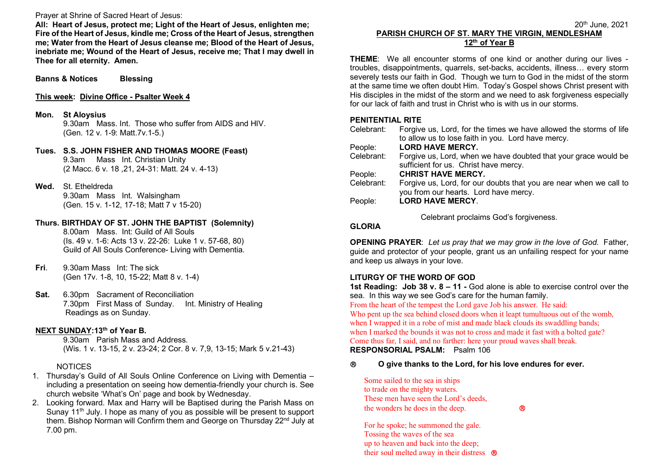Prayer at Shrine of Sacred Heart of Jesus:

 **All: Heart of Jesus, protect me; Light of the Heart of Jesus, enlighten me; Fire of the Heart of Jesus, kindle me; Cross of the Heart of Jesus, strengthen me; Water from the Heart of Jesus cleanse me; Blood of the Heart of Jesus, inebriate me; Wound of the Heart of Jesus, receive me; That I may dwell in Thee for all eternity. Amen.** 

**Banns & Notices Blessing** 

#### **This week: Divine Office - Psalter Week 4**

**Mon. St Aloysius** 

 9.30am Mass. Int. Those who suffer from AIDS and HIV.(Gen. 12 v. 1-9: Matt.7v.1-5.)

**Tues. S.S. JOHN FISHER AND THOMAS MOORE (Feast)** 9.3am Mass Int. Christian Unity (2 Macc. 6 v. 18 ,21, 24-31: Matt. 24 v. 4-13)

**Wed.** St. Etheldreda

 9.30am Mass Int. Walsingham (Gen. 15 v. 1-12, 17-18; Matt 7 v 15-20)

# **Thurs. BIRTHDAY OF ST. JOHN THE BAPTIST (Solemnity)**

8.00am Mass. Int: Guild of All Souls (Is. 49 v. 1-6: Acts 13 v. 22-26: Luke 1 v. 57-68, 80) Guild of All Souls Conference- Living with Dementia.

- **Fri**. 9.30am Mass Int: The sick (Gen 17v. 1-8, 10, 15-22; Matt 8 v. 1-4)
- **Sat.** 6.30pm Sacrament of Reconciliation 7.30pm First Mass of Sunday. Int. Ministry of HealingReadings as on Sunday.

# **NEXT SUNDAY:13th of Year B.**

 9.30am Parish Mass and Address. (Wis. 1 v. 13-15, 2 v. 23-24; 2 Cor. 8 v. 7,9, 13-15; Mark 5 v.21-43)

### NOTICES

- 1. Thursday's Guild of All Souls Online Conference on Living with Dementia including a presentation on seeing how dementia-friendly your church is. See church website 'What's On' page and book by Wednesday.
- 2. Looking forward. Max and Harry will be Baptised during the Parish Mass on Sunay 11<sup>th</sup> July. I hope as many of you as possible will be present to support them. Bishop Norman will Confirm them and George on Thursday 22<sup>nd</sup> July at 7.00 pm.

#### 20th June, 2021 **PARISH CHURCH OF ST. MARY THE VIRGIN, MENDLESHAM 12th of Year B**

**THEME**: We all encounter storms of one kind or another during our lives troubles, disappointments, quarrels, set-backs, accidents, illness… every storm severely tests our faith in God. Though we turn to God in the midst of the storm at the same time we often doubt Him. Today's Gospel shows Christ present with His disciples in the midst of the storm and we need to ask forgiveness especially for our lack of faith and trust in Christ who is with us in our storms.

# **PENITENTIAL RITE**

| Celebrant: | Forgive us, Lord, for the times we have allowed the storms of life<br>to allow us to lose faith in you. Lord have mercy. |
|------------|--------------------------------------------------------------------------------------------------------------------------|
|            |                                                                                                                          |
| People:    | <b>LORD HAVE MERCY.</b>                                                                                                  |
| Celebrant: | Forgive us, Lord, when we have doubted that your grace would be                                                          |
|            | sufficient for us. Christ have mercy.                                                                                    |
| People:    | <b>CHRIST HAVE MERCY.</b>                                                                                                |
| Celebrant: | Forgive us, Lord, for our doubts that you are near when we call to                                                       |
|            | you from our hearts. Lord have mercy.                                                                                    |
| People:    | <b>LORD HAVE MERCY.</b>                                                                                                  |
|            |                                                                                                                          |

**Celebrant proclaims God's forgiveness.** 

## **GLORIA**

**OPENING PRAYER**: *Let us pray that we may grow in the love of God.* Father, guide and protector of your people, grant us an unfailing respect for your name and keep us always in your love.

# **LITURGY OF THE WORD OF GOD**

 **1st Reading: Job 38 v. 8 – 11 -** God alone is able to exercise control over the sea. In this way we see God's care for the human family.

From the heart of the tempest the Lord gave Job his answer. He said:

 Who pent up the sea behind closed doors when it leapt tumultuous out of the womb, when I wrapped it in a robe of mist and made black clouds its swaddling bands; when I marked the bounds it was not to cross and made it fast with a bolted gate? Come thus far, I said, and no farther: here your proud waves shall break. **RESPONSORIAL PSALM:** Psalm 106

# **O give thanks to the Lord, for his love endures for ever.**

Some sailed to the sea in ships to trade on the mighty waters. These men have seen the Lord's deeds, the wonders he does in the deep.

 $^{\circ}$ 

For he spoke; he summoned the gale. Tossing the waves of the sea up to heaven and back into the deep; their soul melted away in their distress <sup>®</sup>